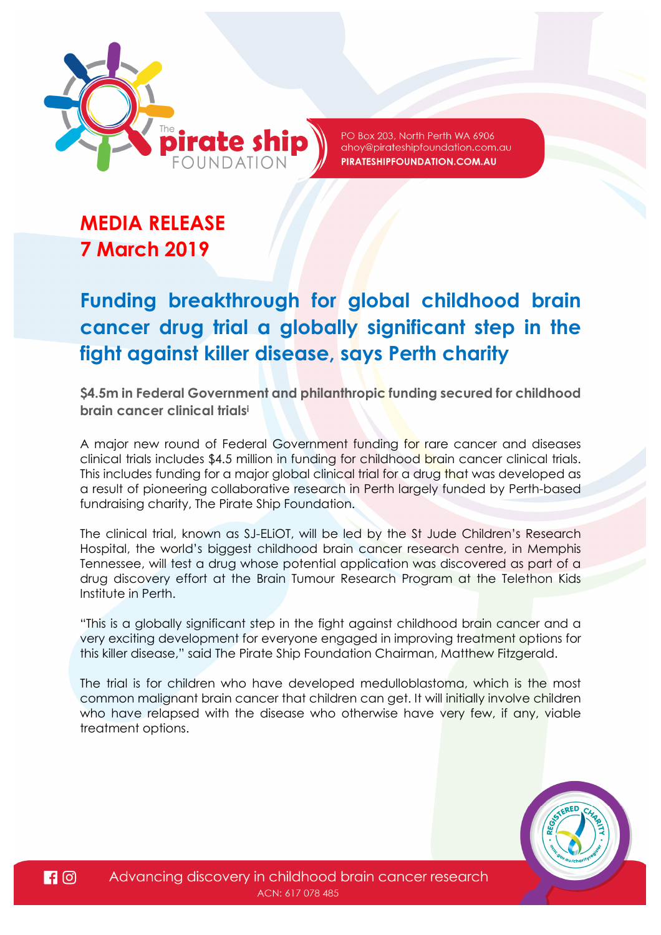

PO Box 203, North Perth WA 6906 ahoy@pirateshipfoundation.com.au PIRATESHIPFOUNDATION.COM.AU

# **MEDIA RELEASE 7 March 2019**

# **Funding breakthrough for global childhood brain cancer drug trial a globally significant step in the fight against killer disease, says Perth charity**

**\$4.5m in Federal Government and philanthropic funding secured for childhood brain cancer clinical trials<sup>i</sup>**

A major new round of Federal Government funding for rare cancer and diseases clinical trials includes \$4.5 million in funding for childhood brain cancer clinical trials. This includes funding for a major global clinical trial for a drug that was developed as a result of pioneering collaborative research in Perth largely funded by Perth-based fundraising charity, The Pirate Ship Foundation.

The clinical trial, known as SJ-ELiOT, will be led by the St Jude Children's Research Hospital, the world's biggest childhood brain cancer research centre, in Memphis Tennessee, will test a drug whose potential application was discovered as part of a drug discovery effort at the Brain Tumour Research Program at the Telethon Kids Institute in Perth.

"This is a globally significant step in the fight against childhood brain cancer and a very exciting development for everyone engaged in improving treatment options for this killer disease," said The Pirate Ship Foundation Chairman, Matthew Fitzgerald.

The trial is for children who have developed medulloblastoma, which is the most common malignant brain cancer that children can get. It will initially involve children who have relapsed with the disease who otherwise have very few, if any, viable treatment options.

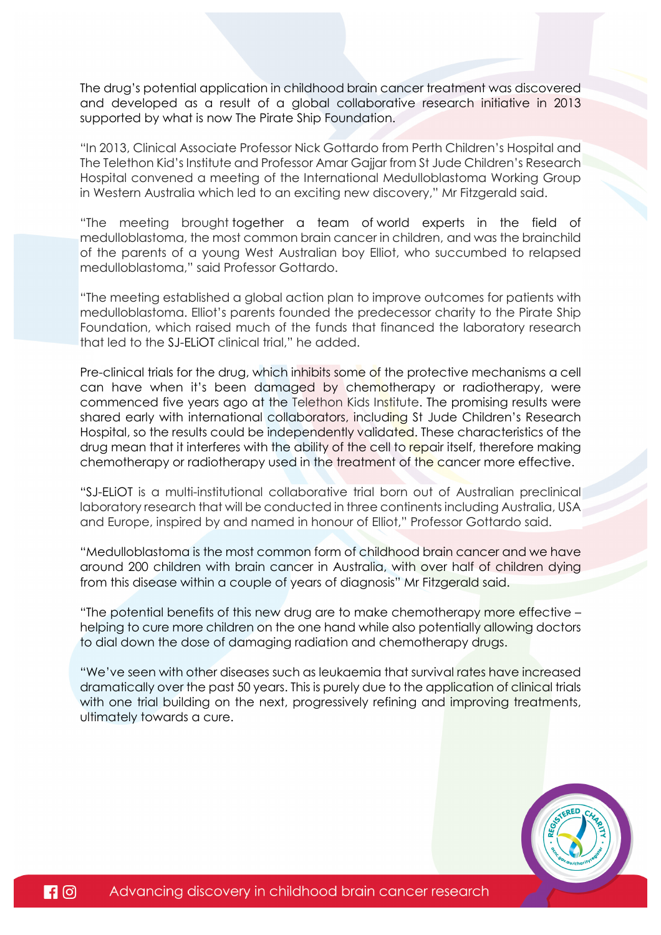The drug's potential application in childhood brain cancer treatment was discovered and developed as a result of a global collaborative research initiative in 2013 supported by what is now The Pirate Ship Foundation.

"In 2013, Clinical Associate Professor Nick Gottardo from Perth Children's Hospital and The Telethon Kid's Institute and Professor Amar Gajjar from St Jude Children's Research Hospital convened a meeting of the International Medulloblastoma Working Group in Western Australia which led to an exciting new discovery," Mr Fitzgerald said.

"The meeting brought together a team of world experts in the field of medulloblastoma, the most common brain cancer in children, and was the brainchild of the parents of a young West Australian boy Elliot, who succumbed to relapsed medulloblastoma," said Professor Gottardo.

"The meeting established a global action plan to improve outcomes for patients with medulloblastoma. Elliot's parents founded the predecessor charity to the Pirate Ship Foundation, which raised much of the funds that financed the laboratory research that led to the SJ-ELiOT clinical trial," he added.

Pre-clinical trials for the drug, which inhibits some of the protective mechanisms a cell can have when it's been damaged by chemotherapy or radiotherapy, were commenced five years ago at the Telethon Kids Institute. The promising results were shared early with international collaborators, including St Jude Children's Research Hospital, so the results could be independently validated. These characteristics of the drug mean that it interferes with the ability of the cell to repair itself, therefore making chemotherapy or radiotherapy used in the treatment of the cancer more effective.

"SJ-ELiOT is a multi-institutional collaborative trial born out of Australian preclinical laboratory research that will be conducted in three continents including Australia, USA and Europe, inspired by and named in honour of Elliot," Professor Gottardo said.

"Medulloblastoma is the most common form of childhood brain cancer and we have around 200 children with brain cancer in Australia, with over half of children dying from this disease within a couple of years of diagnosis" Mr Fitzgerald said.

"The potential benefits of this new drug are to make chemotherapy more effective – helping to cure more children on the one hand while also potentially allowing doctors to dial down the dose of damaging radiation and chemotherapy drugs.

"We've seen with other diseases such as leukaemia that survival rates have increased dramatically over the past 50 years. This is purely due to the application of clinical trials with one trial building on the next, progressively refining and improving treatments, ultimately towards a cure.

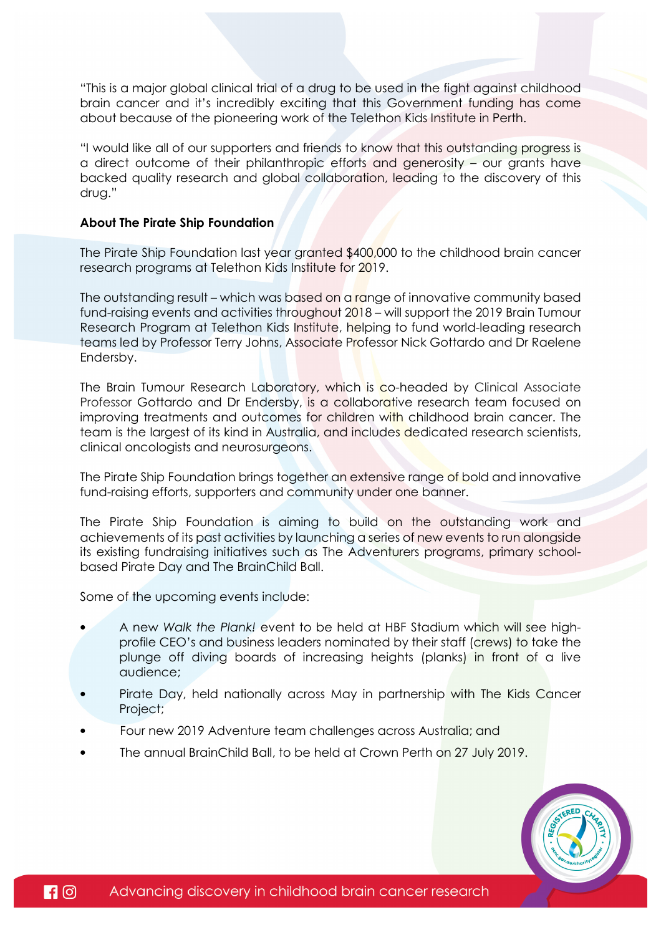"This is a major global clinical trial of a drug to be used in the fight against childhood brain cancer and it's incredibly exciting that this Government funding has come about because of the pioneering work of the Telethon Kids Institute in Perth.

"I would like all of our supporters and friends to know that this outstanding progress is a direct outcome of their philanthropic efforts and generosity – our grants have backed quality research and global collaboration, leading to the discovery of this drug."

### **About The Pirate Ship Foundation**

The Pirate Ship Foundation last year granted \$400,000 to the childhood brain cancer research programs at Telethon Kids Institute for 2019.

The outstanding result – which was based on a range of innovative community based fund-raising events and activities throughout 2018 – will support the 2019 Brain Tumour Research Program at Telethon Kids Institute, helping to fund world-leading research teams led by Professor Terry Johns, Associate Professor Nick Gottardo and Dr Raelene Endersby.

The Brain Tumour Research Laboratory, which is co-headed by Clinical Associate Professor Gottardo and Dr Endersby, is a collaborative research team focused on improving treatments and outcomes for children with childhood brain cancer. The team is the largest of its kind in Australia, and includes dedicated research scientists, clinical oncologists and neurosurgeons.

The Pirate Ship Foundation brings together an extensive range of bold and innovative fund-raising efforts, supporters and community under one banner.

The Pirate Ship Foundation is aiming to build on the outstanding work and achievements of its past activities by launching a series of new events to run alongside its existing fundraising initiatives such as The Adventurers programs, primary schoolbased Pirate Day and The BrainChild Ball.

Some of the upcoming events include:

- A new *Walk the Plank!* event to be held at HBF Stadium which will see highprofile CEO's and business leaders nominated by their staff (crews) to take the plunge off diving boards of increasing heights (planks) in front of a live audience;
- Pirate Day, held nationally across May in partnership with The Kids Cancer Project;
- Four new 2019 Adventure team challenges across Australia; and
- The annual BrainChild Ball, to be held at Crown Perth on 27 July 2019.